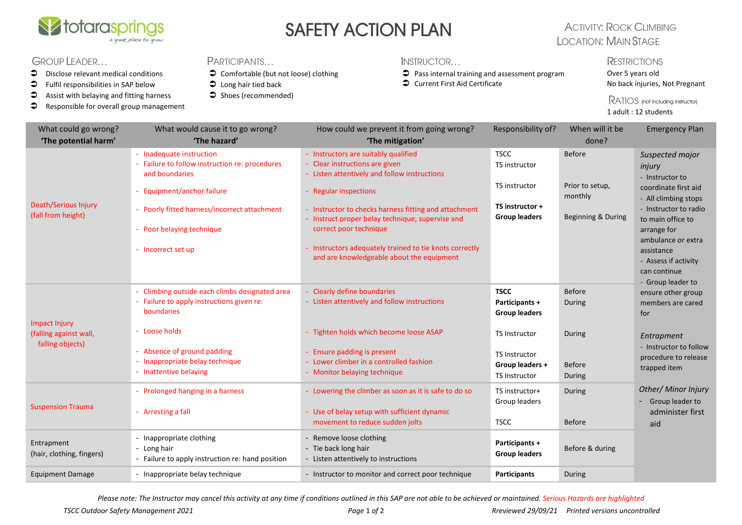

# SAFETY ACTION PLAN

### **ACTIVITY: ROCK CLIMBING LOCATION: MAIN STAGE**

#### GROUP LEADER...

- $\bullet$  Disclose relevant medical conditions
- $\bullet$  Fulfil responsibilities in SAP below
- $\bullet$  Assist with belaying and fitting harness
- **C** Responsible for overall group management

#### **PARTICIPANTS**

- Comfortable (but not loose) clothing
- $\bullet$  Long hair tied back
- $\supset$  Shoes (recommended)
- INSTRUCTOR...
- $\supset$  Pass internal training and assessment program
- Current First Aid Certificate

**RESTRICTIONS** 

Over 5 years old No back injuries, Not Pregnant

RATIOS (not including instructor) 1 adult : 12 students

| What could go wrong?<br>'The potential harm'                | What would cause it to go wrong?<br>'The hazard'                                                          | How could we prevent it from going wrong?<br>'The mitigation'                                                          | Responsibility of?                                              | When will it be<br>done?   | <b>Emergency Plan</b>                                          |
|-------------------------------------------------------------|-----------------------------------------------------------------------------------------------------------|------------------------------------------------------------------------------------------------------------------------|-----------------------------------------------------------------|----------------------------|----------------------------------------------------------------|
| Death/Serious Injury<br>(fall from height)                  | - Inadequate instruction<br>- Failure to follow instruction re: procedures<br>and boundaries              | - Instructors are suitably qualified<br>- Clear instructions are given<br>- Listen attentively and follow instructions | <b>TSCC</b><br>TS instructor                                    | <b>Before</b>              | Suspected major<br>injury<br>- Instructor to                   |
|                                                             | - Equipment/anchor failure                                                                                | - Regular inspections                                                                                                  | TS instructor                                                   | Prior to setup,<br>monthly | coordinate first aid<br>- All climbing stops                   |
|                                                             | - Poorly fitted harness/incorrect attachment                                                              | - Instructor to checks harness fitting and attachment<br>- Instruct proper belay technique, supervise and              | TS instructor +<br><b>Group leaders</b>                         | Beginning & During         | - Instructor to radio<br>to main office to                     |
|                                                             | - Poor belaying technique                                                                                 | correct poor technique                                                                                                 |                                                                 |                            | arrange for<br>ambulance or extra                              |
|                                                             | - Incorrect set up                                                                                        | - Instructors adequately trained to tie knots correctly<br>and are knowledgeable about the equipment                   |                                                                 |                            | assistance<br>- Assess if activity                             |
|                                                             |                                                                                                           |                                                                                                                        |                                                                 |                            | can continue<br>- Group leader to                              |
| Impact Injury<br>(falling against wall,<br>falling objects) | - Climbing outside each climbs designated area<br>- Failure to apply instructions given re:<br>boundaries | - Clearly define boundaries<br>- Listen attentively and follow instructions                                            | <b>TSCC</b><br>Participants +<br><b>Group leaders</b>           | Before<br>During           | ensure other group<br>members are cared<br>for                 |
|                                                             | - Loose holds                                                                                             | - Tighten holds which become loose ASAP                                                                                | <b>TS Instructor</b>                                            | During                     | Entrapment                                                     |
|                                                             | Absence of ground padding<br>- Inappropriate belay technique<br>- Inattentive belaying                    | - Ensure padding is present<br>- Lower climber in a controlled fashion<br>- Monitor belaying technique                 | <b>TS Instructor</b><br>Group leaders +<br><b>TS Instructor</b> | <b>Before</b><br>During    | - Instructor to follow<br>procedure to release<br>trapped item |
| <b>Suspension Trauma</b>                                    | - Prolonged hanging in a harness                                                                          | - Lowering the climber as soon as it is safe to do so                                                                  | TS instructor+                                                  | During                     | Other/ Minor Injury                                            |
|                                                             | - Arresting a fall                                                                                        | - Use of belay setup with sufficient dynamic<br>movement to reduce sudden jolts                                        | Group leaders<br><b>TSCC</b>                                    | <b>Before</b>              | - Group leader to<br>administer first<br>aid                   |
| Entrapment<br>(hair, clothing, fingers)                     | - Inappropriate clothing<br>- Long hair<br>- Failure to apply instruction re: hand position               | - Remove loose clothing<br>- Tie back long hair<br>- Listen attentively to instructions                                | Participants +<br><b>Group leaders</b>                          | Before & during            |                                                                |
| <b>Equipment Damage</b>                                     | - Inappropriate belay technique                                                                           | - Instructor to monitor and correct poor technique                                                                     | Participants                                                    | During                     |                                                                |

*Please note: The Instructor may cancel this activity at any time if conditions outlined in this SAP are not able to be achieved or maintained. Serious Hazards are highlighted*